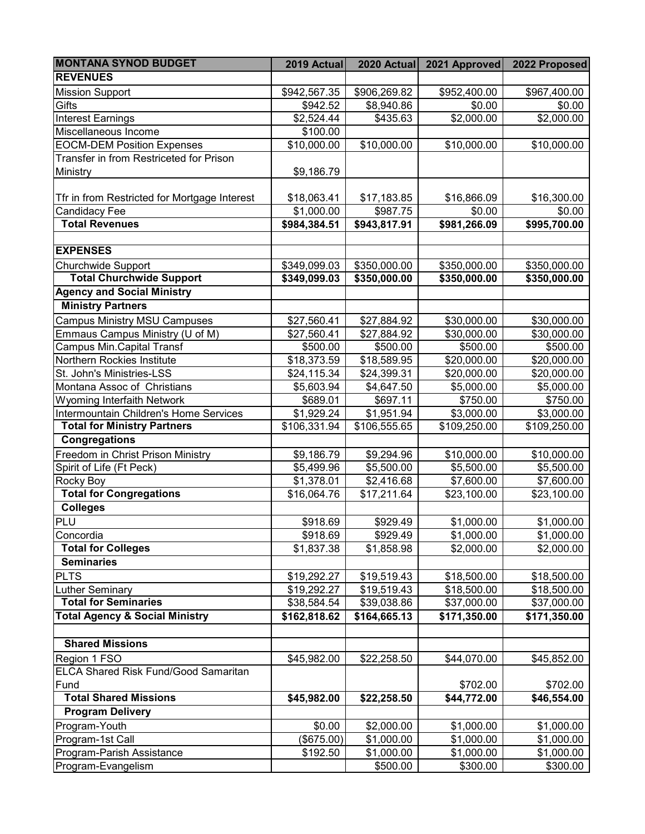| <b>MONTANA SYNOD BUDGET</b>                  | 2019 Actual             | 2020 Actual            | 2021 Approved            | 2022 Proposed        |
|----------------------------------------------|-------------------------|------------------------|--------------------------|----------------------|
| <b>REVENUES</b>                              |                         |                        |                          |                      |
| <b>Mission Support</b>                       | \$942,567.35            | \$906,269.82           | \$952,400.00             | \$967,400.00         |
| Gifts                                        | \$942.52                | \$8,940.86             | \$0.00                   | \$0.00               |
| <b>Interest Earnings</b>                     | \$2,524.44              | \$435.63               | \$2,000.00               | $\frac{1}{2,000.00}$ |
| Miscellaneous Income                         | \$100.00                |                        |                          |                      |
| <b>EOCM-DEM Position Expenses</b>            | \$10,000.00             | \$10,000.00            | \$10,000.00              | \$10,000.00          |
| Transfer in from Restriceted for Prison      |                         |                        |                          |                      |
| Ministry                                     | \$9,186.79              |                        |                          |                      |
|                                              |                         |                        |                          |                      |
| Tfr in from Restricted for Mortgage Interest | \$18,063.41             | \$17,183.85            | \$16,866.09              | \$16,300.00          |
| Candidacy Fee                                | \$1,000.00              | \$987.75               | \$0.00                   | \$0.00               |
| <b>Total Revenues</b>                        | \$984,384.51            | \$943,817.91           | \$981,266.09             | \$995,700.00         |
|                                              |                         |                        |                          |                      |
| <b>EXPENSES</b>                              |                         |                        |                          |                      |
| <b>Churchwide Support</b>                    | \$349,099.03            | \$350,000.00           | \$350,000.00             | \$350,000.00         |
| <b>Total Churchwide Support</b>              | \$349,099.03            | \$350,000.00           | \$350,000.00             | \$350,000.00         |
| <b>Agency and Social Ministry</b>            |                         |                        |                          |                      |
| <b>Ministry Partners</b>                     |                         |                        |                          |                      |
| <b>Campus Ministry MSU Campuses</b>          | \$27,560.41             | \$27,884.92            | \$30,000.00              | \$30,000.00          |
| Emmaus Campus Ministry (U of M)              | $\overline{$}27,560.41$ | \$27,884.92            | \$30,000.00              | \$30,000.00          |
| Campus Min.Capital Transf                    | \$500.00                | \$500.00               | \$500.00                 | \$500.00             |
| Northern Rockies Institute                   | \$18,373.59             | \$18,589.95            | \$20,000.00              | \$20,000.00          |
| St. John's Ministries-LSS                    | \$24,115.34             | \$24,399.31            | \$20,000.00              | \$20,000.00          |
| Montana Assoc of Christians                  | \$5,603.94              | \$4,647.50             | \$5,000.00               | \$5,000.00           |
| Wyoming Interfaith Network                   | \$689.01                | \$697.11               | \$750.00                 | \$750.00             |
| Intermountain Children's Home Services       | \$1,929.24              | $\overline{$}1,951.94$ | \$3,000.00               | \$3,000.00           |
| <b>Total for Ministry Partners</b>           | \$106,331.94            | \$106,555.65           | \$109,250.00             | \$109,250.00         |
| Congregations                                |                         |                        |                          |                      |
| Freedom in Christ Prison Ministry            | \$9,186.79              | \$9,294.96             | \$10,000.00              | \$10,000.00          |
| Spirit of Life (Ft Peck)                     | \$5,499.96              | \$5,500.00             | \$5,500.00               | \$5,500.00           |
| Rocky Boy                                    | \$1,378.01              | \$2,416.68             | \$7,600.00               | \$7,600.00           |
| <b>Total for Congregations</b>               | \$16,064.76             | \$17,211.64            | \$23,100.00              | \$23,100.00          |
| <b>Colleges</b>                              |                         |                        |                          |                      |
| PLU                                          | \$918.69                | \$929.49               | \$1,000.00               | \$1,000.00           |
| Concordia                                    | \$918.69                | \$929.49               | \$1,000.00               | \$1,000.00           |
| <b>Total for Colleges</b>                    | \$1,837.38              | \$1,858.98             | \$2,000.00               | \$2,000.00           |
| <b>Seminaries</b>                            |                         |                        |                          |                      |
| <b>PLTS</b>                                  | \$19,292.27             | \$19,519.43            | \$18,500.00              | \$18,500.00          |
| <b>Luther Seminary</b>                       | \$19,292.27             | \$19,519.43            | \$18,500.00              | \$18,500.00          |
| <b>Total for Seminaries</b>                  | \$38,584.54             | \$39,038.86            | \$37,000.00              | \$37,000.00          |
| <b>Total Agency &amp; Social Ministry</b>    | \$162,818.62            | \$164,665.13           | $\overline{$171,350.00}$ | \$171,350.00         |
| <b>Shared Missions</b>                       |                         |                        |                          |                      |
| Region 1 FSO                                 | \$45,982.00             | \$22,258.50            | \$44,070.00              | \$45,852.00          |
| ELCA Shared Risk Fund/Good Samaritan         |                         |                        |                          |                      |
| Fund                                         |                         |                        | \$702.00                 | \$702.00             |
| <b>Total Shared Missions</b>                 | \$45,982.00             | \$22,258.50            | \$44,772.00              | \$46,554.00          |
| <b>Program Delivery</b>                      |                         |                        |                          |                      |
| Program-Youth                                | \$0.00                  | \$2,000.00             | \$1,000.00               | \$1,000.00           |
| Program-1st Call                             | (\$675.00)              | \$1,000.00             | \$1,000.00               | \$1,000.00           |
| Program-Parish Assistance                    | \$192.50                | \$1,000.00             | \$1,000.00               | \$1,000.00           |
| Program-Evangelism                           |                         | \$500.00               | \$300.00                 | \$300.00             |